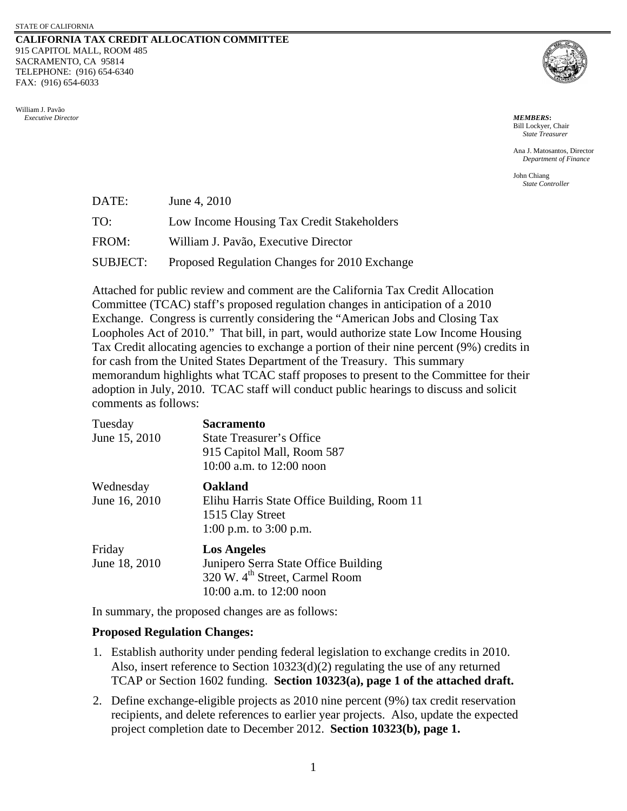## **CALIFORNIA TAX CREDIT ALLOCATION COMMITTEE** 915 CAPITOL MALL, ROOM 485 SACRAMENTO, CA 95814 TELEPHONE: (916) 654-6340 FAX: (916) 654-6033





Bill Lockyer, Chair *State Treasurer*

Ana J. Matosantos, Director *Department of Finance* 

John Chiang *State Controller*

| DATE:           | June 4, 2010                                  |
|-----------------|-----------------------------------------------|
| TO:             | Low Income Housing Tax Credit Stakeholders    |
| FROM:           | William J. Pavão, Executive Director          |
| <b>SUBJECT:</b> | Proposed Regulation Changes for 2010 Exchange |

Attached for public review and comment are the California Tax Credit Allocation Committee (TCAC) staff's proposed regulation changes in anticipation of a 2010 Exchange. Congress is currently considering the "American Jobs and Closing Tax Loopholes Act of 2010." That bill, in part, would authorize state Low Income Housing Tax Credit allocating agencies to exchange a portion of their nine percent (9%) credits in for cash from the United States Department of the Treasury. This summary memorandum highlights what TCAC staff proposes to present to the Committee for their adoption in July, 2010. TCAC staff will conduct public hearings to discuss and solicit comments as follows:

| Tuesday       | <b>Sacramento</b>                           |
|---------------|---------------------------------------------|
| June 15, 2010 | <b>State Treasurer's Office</b>             |
|               | 915 Capitol Mall, Room 587                  |
|               | 10:00 a.m. to $12:00$ noon                  |
| Wednesday     | <b>Oakland</b>                              |
| June 16, 2010 | Elihu Harris State Office Building, Room 11 |
|               | 1515 Clay Street                            |
|               | 1:00 p.m. to $3:00$ p.m.                    |
| Friday        | <b>Los Angeles</b>                          |
| June 18, 2010 | Junipero Serra State Office Building        |
|               | 320 W. 4 <sup>th</sup> Street, Carmel Room  |
|               | 10:00 a.m. to $12:00$ noon                  |

In summary, the proposed changes are as follows:

## **Proposed Regulation Changes:**

- 1. Establish authority under pending federal legislation to exchange credits in 2010. Also, insert reference to Section 10323(d)(2) regulating the use of any returned TCAP or Section 1602 funding. **Section 10323(a), page 1 of the attached draft.**
- 2. Define exchange-eligible projects as 2010 nine percent (9%) tax credit reservation recipients, and delete references to earlier year projects. Also, update the expected project completion date to December 2012. **Section 10323(b), page 1.**